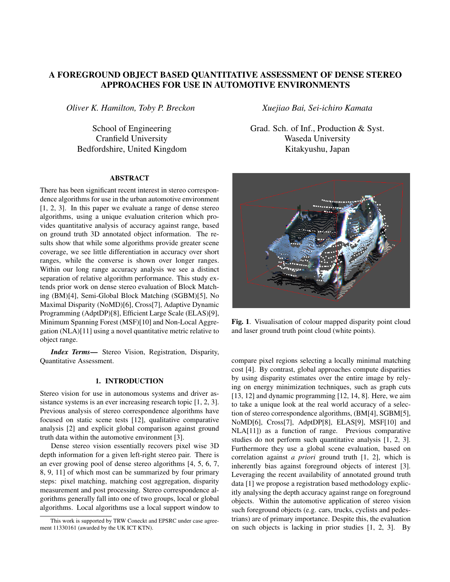# A FOREGROUND OBJECT BASED QUANTITATIVE ASSESSMENT OF DENSE STEREO APPROACHES FOR USE IN AUTOMOTIVE ENVIRONMENTS

*Oliver K. Hamilton, Toby P. Breckon*

School of Engineering Cranfield University Bedfordshire, United Kingdom

### ABSTRACT

There has been significant recent interest in stereo correspondence algorithms for use in the urban automotive environment [1, 2, 3]. In this paper we evaluate a range of dense stereo algorithms, using a unique evaluation criterion which provides quantitative analysis of accuracy against range, based on ground truth 3D annotated object information. The results show that while some algorithms provide greater scene coverage, we see little differentiation in accuracy over short ranges, while the converse is shown over longer ranges. Within our long range accuracy analysis we see a distinct separation of relative algorithm performance. This study extends prior work on dense stereo evaluation of Block Matching (BM)[4], Semi-Global Block Matching (SGBM)[5], No Maximal Disparity (NoMD)[6], Cross[7], Adaptive Dynamic Programming (AdptDP)[8], Efficient Large Scale (ELAS)[9], Minimum Spanning Forest (MSF)[10] and Non-Local Aggregation (NLA)[11] using a novel quantitative metric relative to object range.

*Index Terms*— Stereo Vision, Registration, Disparity, Quantitative Assessment.

## 1. INTRODUCTION

Stereo vision for use in autonomous systems and driver assistance systems is an ever increasing research topic  $[1, 2, 3]$ . Previous analysis of stereo correspondence algorithms have focused on static scene tests [12], qualitative comparative analysis [2] and explicit global comparison against ground truth data within the automotive environment [3].

Dense stereo vision essentially recovers pixel wise 3D depth information for a given left-right stereo pair. There is an ever growing pool of dense stereo algorithms [4, 5, 6, 7, 8, 9, 11] of which most can be summarized by four primary steps: pixel matching, matching cost aggregation, disparity measurement and post processing. Stereo correspondence algorithms generally fall into one of two groups, local or global algorithms. Local algorithms use a local support window to *Xuejiao Bai, Sei-ichiro Kamata*

Grad. Sch. of Inf., Production & Syst. Waseda University Kitakyushu, Japan



Fig. 1. Visualisation of colour mapped disparity point cloud and laser ground truth point cloud (white points).

compare pixel regions selecting a locally minimal matching cost [4]. By contrast, global approaches compute disparities by using disparity estimates over the entire image by relying on energy minimization techniques, such as graph cuts [13, 12] and dynamic programming [12, 14, 8]. Here, we aim to take a unique look at the real world accuracy of a selection of stereo correspondence algorithms, (BM[4], SGBM[5], NoMD[6], Cross[7], AdptDP[8], ELAS[9], MSF[10] and NLA[11]) as a function of range. Previous comparative studies do not perform such quantitative analysis [1, 2, 3]. Furthermore they use a global scene evaluation, based on correlation against *a priori* ground truth [1, 2], which is inherently bias against foreground objects of interest [3]. Leveraging the recent availability of annotated ground truth data [1] we propose a registration based methodology explicitly analysing the depth accuracy against range on foreground objects. Within the automotive application of stereo vision such foreground objects (e.g. cars, trucks, cyclists and pedestrians) are of primary importance. Despite this, the evaluation on such objects is lacking in prior studies [1, 2, 3]. By

This work is supported by TRW Coneckt and EPSRC under case agreement 11330161 (awarded by the UK ICT KTN).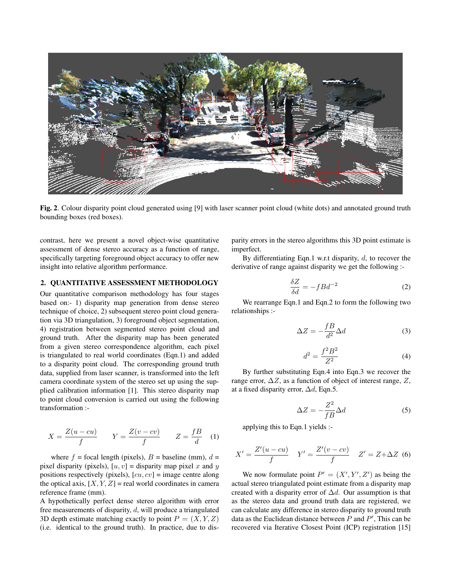

Fig. 2. Colour disparity point cloud generated using [9] with laser scanner point cloud (white dots) and annotated ground truth bounding boxes (red boxes).

contrast, here we present a novel object-wise quantitative assessment of dense stereo accuracy as a function of range, specifically targeting foreground object accuracy to offer new insight into relative algorithm performance.

#### 2. QUANTITATIVE ASSESSMENT METHODOLOGY

Our quantitative comparison methodology has four stages based on:- 1) disparity map generation from dense stereo technique of choice, 2) subsequent stereo point cloud generation via 3D triangulation, 3) foreground object segmentation, 4) registration between segmented stereo point cloud and ground truth. After the disparity map has been generated from a given stereo correspondence algorithm, each pixel is triangulated to real world coordinates (Eqn.1) and added to a disparity point cloud. The corresponding ground truth data, supplied from laser scanner, is transformed into the left camera coordinate system of the stereo set up using the supplied calibration information [1]. This stereo disparity map to point cloud conversion is carried out using the following transformation :-

$$
X = \frac{Z(u - cu)}{f} \qquad Y = \frac{Z(v - cv)}{f} \qquad Z = \frac{fB}{d} \quad (1)
$$

where  $f =$  focal length (pixels),  $B =$  baseline (mm),  $d =$ pixel disparity (pixels),  $[u, v] =$  disparity map pixel x and y positions respectively (pixels),  $[cu, cv] = \text{image centre along}$ the optical axis,  $[X, Y, Z]$  = real world coordinates in camera reference frame (mm).

A hypothetically perfect dense stereo algorithm with error free measurements of disparity, d, will produce a triangulated 3D depth estimate matching exactly to point  $P = (X, Y, Z)$ (i.e. identical to the ground truth). In practice, due to disparity errors in the stereo algorithms this 3D point estimate is imperfect.

By differentiating Eqn.1 w.r.t disparity,  $d$ , to recover the derivative of range against disparity we get the following :-

$$
\frac{\delta Z}{\delta d} = -fBd^{-2} \tag{2}
$$

We rearrange Eqn.1 and Eqn.2 to form the following two relationships :-

$$
\Delta Z = -\frac{fB}{d^2} \Delta d \tag{3}
$$

$$
d^2 = \frac{f^2 B^2}{Z^2} \tag{4}
$$

By further substituting Eqn.4 into Eqn.3 we recover the range error,  $\Delta Z$ , as a function of object of interest range, Z, at a fixed disparity error,  $\Delta d$ , Eqn.5.

$$
\Delta Z = -\frac{Z^2}{fB}\Delta d\tag{5}
$$

applying this to Eqn.1 yields :-

$$
X' = \frac{Z'(u - cu)}{f} \quad Y' = \frac{Z'(v - cv)}{f} \quad Z' = Z + \Delta Z \tag{6}
$$

We now formulate point  $P' = (X', Y', Z')$  as being the actual stereo triangulated point estimate from a disparity map created with a disparity error of  $\Delta d$ . Our assumption is that as the stereo data and ground truth data are registered, we can calculate any difference in stereo disparity to ground truth data as the Euclidean distance between  $P$  and  $P'$ , This can be recovered via Iterative Closest Point (ICP) registration [15]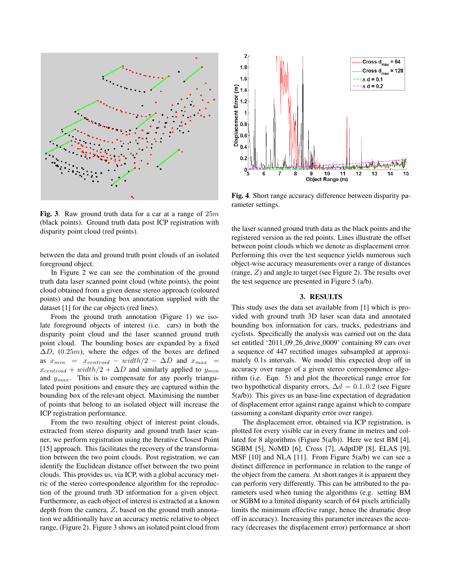

Fig. 3. Raw ground truth data for a car at a range of  $25m$ (black points). Ground truth data post ICP registration with disparity point cloud (red points).

between the data and ground truth point clouds of an isolated foreground object.

In Figure 2 we can see the combination of the ground truth data laser scanned point cloud (white points), the point cloud obtained from a given dense stereo approach (coloured points) and the bounding box annotation supplied with the dataset [1] for the car objects (red lines).

From the ground truth annotation (Figure 1) we isolate foreground objects of interest (i.e. cars) in both the disparity point cloud and the laser scanned ground truth point cloud. The bounding boxes are expanded by a fixed  $\Delta D$ , (0.25m), where the edges of the boxes are defined as  $x_{min}$  =  $x_{centroid}$  –  $width/2 - \Delta D$  and  $x_{max}$  =  $x_{centroid} + width/2 + \Delta D$  and similarly applied to  $y_{min}$ and  $y_{max}$ . This is to compensate for any poorly triangulated point positions and ensure they are captured within the bounding box of the relevant object. Maximising the number of points that belong to an isolated object will increase the ICP registration performance.

From the two resulting object of interest point clouds, extracted from stereo disparity and ground truth laser scanner, we perform registration using the Iterative Closest Point [15] approach. This facilitates the recovery of the transformation between the two point clouds. Post registration, we can identify the Euclidean distance offset between the two point clouds. This provides us, via ICP, with a global accuracy metric of the stereo correspondence algorithm for the reproduction of the ground truth 3D information for a given object. Furthermore, as each object of interest is extracted at a known depth from the camera,  $Z$ , based on the ground truth annotation we additionally have an accuracy metric relative to object range, (Figure 2). Figure 3 shows an isolated point cloud from



Fig. 4. Short range accuracy difference between disparity parameter settings.

the laser scanned ground truth data as the black points and the registered version as the red points. Lines illustrate the offset between point clouds which we denote as displacement error. Performing this over the test sequence yields numerous such object-wise accuracy measurements over a range of distances (range, Z) and angle to target (see Figure 2). The results over the test sequence are presented in Figure 5 (a/b).

#### 3. RESULTS

This study uses the data set available from [1] which is provided with ground truth 3D laser scan data and annotated bounding box information for cars, trucks, pedestrians and cyclists. Specifically the analysis was carried out on the data set entitled '2011<sub>-09-26</sub> drive 0009' containing 89 cars over a sequence of 447 rectified images subsampled at approximately 0.1s intervals. We model this expected drop off in accuracy over range of a given stereo correspondence algorithm (i.e. Eqn. 5) and plot the theoretical range error for two hypothetical disparity errors,  $\Delta d = 0.1, 0.2$  (see Figure 5(a/b)). This gives us an base-line expectation of degradation of displacement error against range against which to compare (assuming a constant disparity error over range).

The displacement error, obtained via ICP registration, is plotted for every visible car in every frame in metres and collated for 8 algorithms (Figure 5(a/b)). Here we test BM [4], SGBM [5], NoMD [6], Cross [7], AdptDP [8], ELAS [9], MSF  $[10]$  and NLA  $[11]$ . From Figure  $5(a/b)$  we can see a distinct difference in performance in relation to the range of the object from the camera. At short ranges it is apparent they can perform very differently. This can be attributed to the parameters used when tuning the algorithms (e.g. setting BM or SGBM to a limited disparity search of 64 pixels artificially limits the minimum effective range, hence the dramatic drop off in accuracy). Increasing this parameter increases the accuracy (decreases the displacement error) performance at short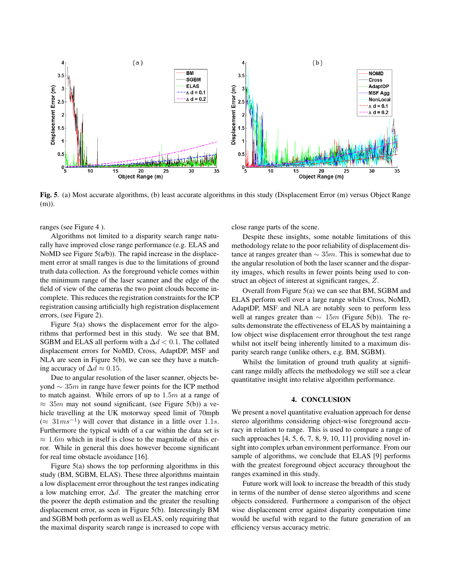

Fig. 5. (a) Most accurate algorithms, (b) least accurate algorithms in this study (Displacement Error (m) versus Object Range (m)).

ranges (see Figure 4 ).

Algorithms not limited to a disparity search range naturally have improved close range performance (e.g. ELAS and NoMD see Figure  $5(a/b)$ ). The rapid increase in the displacement error at small ranges is due to the limitations of ground truth data collection. As the foreground vehicle comes within the minimum range of the laser scanner and the edge of the field of view of the cameras the two point clouds become incomplete. This reduces the registration constraints for the ICP registration causing artificially high registration displacement errors, (see Figure 2).

Figure 5(a) shows the displacement error for the algorithms that performed best in this study. We see that BM, SGBM and ELAS all perform with a  $\Delta d < 0.1$ . The collated displacement errors for NoMD, Cross, AdaptDP, MSF and NLA are seen in Figure 5(b), we can see they have a matching accuracy of  $\Delta d \approx 0.15$ .

Due to angular resolution of the laser scanner, objects beyond  $\sim$  35m in range have fewer points for the ICP method to match against. While errors of up to  $1.5m$  at a range of  $\approx$  35m may not sound significant, (see Figure 5(b)) a vehicle travelling at the UK motorway speed limit of 70mph  $(\approx 31 \text{m s}^{-1})$  will cover that distance in a little over 1.1s. Furthermore the typical width of a car within the data set is  $\approx 1.6m$  which in itself is close to the magnitude of this error. While in general this does however become significant for real time obstacle avoidance [16].

Figure 5(a) shows the top performing algorithms in this study (BM, SGBM, ELAS). These three algorithms maintain a low displacement error throughout the test ranges indicating a low matching error,  $\Delta d$ . The greater the matching error the poorer the depth estimation and the greater the resulting displacement error, as seen in Figure 5(b). Interestingly BM and SGBM both perform as well as ELAS, only requiring that the maximal disparity search range is increased to cope with

close range parts of the scene.

Despite these insights, some notable limitations of this methodology relate to the poor reliability of displacement distance at ranges greater than  $\sim 35m$ . This is somewhat due to the angular resolution of both the laser scanner and the disparity images, which results in fewer points being used to construct an object of interest at significant ranges, Z.

Overall from Figure 5(a) we can see that BM, SGBM and ELAS perform well over a large range whilst Cross, NoMD, AdaptDP, MSF and NLA are notably seen to perform less well at ranges greater than  $\sim 15m$  (Figure 5(b)). The results demonstrate the effectiveness of ELAS by maintaining a low object wise displacement error throughout the test range whilst not itself being inherently limited to a maximum disparity search range (unlike others, e.g. BM, SGBM).

Whilst the limitation of ground truth quality at significant range mildly affects the methodology we still see a clear quantitative insight into relative algorithm performance.

#### 4. CONCLUSION

We present a novel quantitative evaluation approach for dense stereo algorithms considering object-wise foreground accuracy in relation to range. This is used to compare a range of such approaches [4, 5, 6, 7, 8, 9, 10, 11] providing novel insight into complex urban environment performance. From our sample of algorithms, we conclude that ELAS [9] performs with the greatest foreground object accuracy throughout the ranges examined in this study.

Future work will look to increase the breadth of this study in terms of the number of dense stereo algorithms and scene objects considered. Furthermore a comparison of the object wise displacement error against disparity computation time would be useful with regard to the future generation of an efficiency versus accuracy metric.